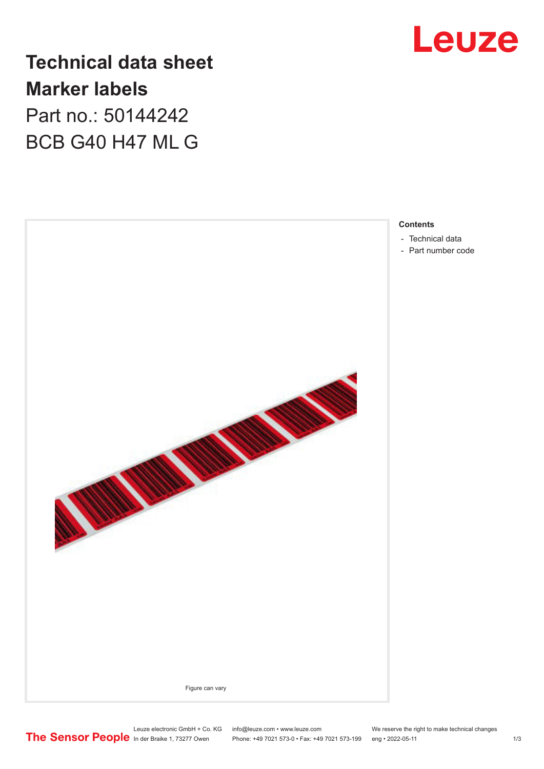

**Technical data sheet Marker labels** Part no.: 50144242

BCB G40 H47 ML G



- [Technical data](#page-1-0)
- [Part number code](#page-1-0)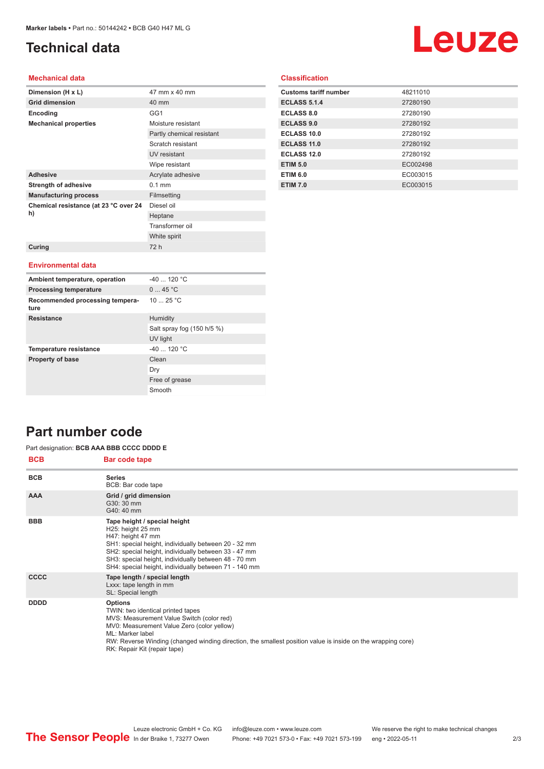## <span id="page-1-0"></span>**Technical data**

# Leuze

#### **Mechanical data**

| Dimension (H x L)                       | 47 mm x 40 mm             |  |  |
|-----------------------------------------|---------------------------|--|--|
| <b>Grid dimension</b>                   | 40 mm                     |  |  |
| Encoding                                | GG1                       |  |  |
| <b>Mechanical properties</b>            | Moisture resistant        |  |  |
|                                         | Partly chemical resistant |  |  |
|                                         | Scratch resistant         |  |  |
|                                         | UV resistant              |  |  |
|                                         | Wipe resistant            |  |  |
| <b>Adhesive</b>                         | Acrylate adhesive         |  |  |
| <b>Strength of adhesive</b>             | $0.1$ mm                  |  |  |
| <b>Manufacturing process</b>            | Filmsetting               |  |  |
| Chemical resistance (at 23 °C over 24   | Diesel oil                |  |  |
| h)                                      | Heptane                   |  |  |
|                                         | Transformer oil           |  |  |
|                                         | White spirit              |  |  |
| Curing                                  | 72 h                      |  |  |
|                                         |                           |  |  |
| <b>Environmental data</b>               |                           |  |  |
| Ambient temperature, operation          | $-40$ 120 °C              |  |  |
| <b>Processing temperature</b>           | 045 °C                    |  |  |
| Recommended processing tempera-<br>ture | 1025 °C                   |  |  |

Salt spray fog (150 h/5 %)

UV light

Free of grease Smooth

Dry

| <b>Classification</b> |  |  |  |
|-----------------------|--|--|--|
|                       |  |  |  |

| <b>Customs tariff number</b> | 48211010 |
|------------------------------|----------|
| <b>ECLASS 5.1.4</b>          | 27280190 |
| <b>ECLASS 8.0</b>            | 27280190 |
| <b>ECLASS 9.0</b>            | 27280192 |
| ECLASS 10.0                  | 27280192 |
| <b>ECLASS 11.0</b>           | 27280192 |
| <b>ECLASS 12.0</b>           | 27280192 |
| <b>ETIM 5.0</b>              | EC002498 |
| <b>ETIM 6.0</b>              | EC003015 |
| <b>ETIM 7.0</b>              | EC003015 |

## **Part number code**

#### Part designation: **BCB AAA BBB CCCC DDDD E**

**Resistance** Humidity

**Temperature resistance** 40 ... 120 °C **Property of base** Clean

| <b>BCB</b>  | Bar code tape                                                                                                                                                                                                                                                                                                     |
|-------------|-------------------------------------------------------------------------------------------------------------------------------------------------------------------------------------------------------------------------------------------------------------------------------------------------------------------|
| <b>BCB</b>  | <b>Series</b><br>BCB: Bar code tape                                                                                                                                                                                                                                                                               |
| <b>AAA</b>  | Grid / grid dimension<br>G30: 30 mm<br>G40: 40 mm                                                                                                                                                                                                                                                                 |
| <b>BBB</b>  | Tape height / special height<br>H25: height 25 mm<br>H47: height 47 mm<br>SH1: special height, individually between 20 - 32 mm<br>SH2: special height, individually between 33 - 47 mm<br>SH3: special height, individually between 48 - 70 mm<br>SH4: special height, individually between 71 - 140 mm           |
| <b>CCCC</b> | Tape length / special length<br>Lxxx: tape length in mm<br>SL: Special length                                                                                                                                                                                                                                     |
| <b>DDDD</b> | <b>Options</b><br>TWIN: two identical printed tapes<br>MVS: Measurement Value Switch (color red)<br>MV0: Measurement Value Zero (color yellow)<br>ML: Marker label<br>RW: Reverse Winding (changed winding direction, the smallest position value is inside on the wrapping core)<br>RK: Repair Kit (repair tape) |